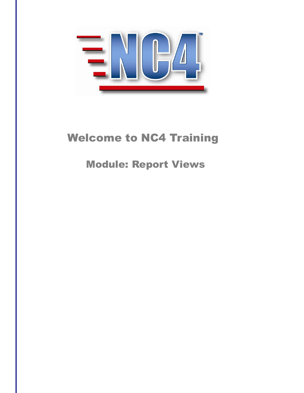

# Welcome to NC4 Training

Module: Report Views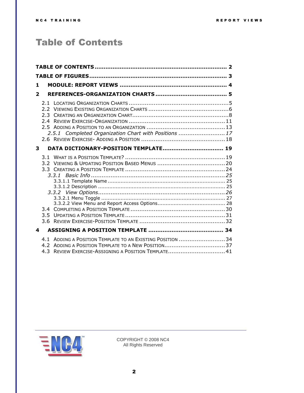### <span id="page-1-0"></span>Table of Contents

| 1                       |               |                                                                                                                   |  |
|-------------------------|---------------|-------------------------------------------------------------------------------------------------------------------|--|
| $\overline{\mathbf{2}}$ |               |                                                                                                                   |  |
|                         | $2.3 -$<br>24 | 2.5.1 Completed Organization Chart with Positions  17                                                             |  |
| 3                       |               | DATA DICTIONARY-POSITION TEMPLATE 19                                                                              |  |
|                         |               | 3.3.1                                                                                                             |  |
| 4                       |               |                                                                                                                   |  |
|                         |               | 4.1 ADDING A POSITION TEMPLATE TO AN EXISTING POSITION 34<br>4.3 REVIEW EXERCISE-ASSIGNING A POSITION TEMPLATE 41 |  |

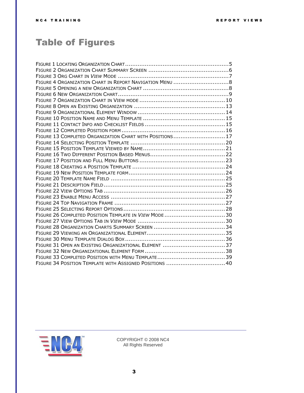## <span id="page-2-0"></span>Table of Figures

| FIGURE 13 COMPLETED ORGANIZATION CHART WITH POSITIONS 17 |  |
|----------------------------------------------------------|--|
|                                                          |  |
|                                                          |  |
|                                                          |  |
|                                                          |  |
|                                                          |  |
|                                                          |  |
|                                                          |  |
|                                                          |  |
|                                                          |  |
|                                                          |  |
|                                                          |  |
|                                                          |  |
|                                                          |  |
|                                                          |  |
|                                                          |  |
|                                                          |  |
|                                                          |  |
|                                                          |  |
|                                                          |  |
|                                                          |  |
| FIGURE 34 POSITION TEMPLATE WITH ASSIGNED POSITIONS 40   |  |

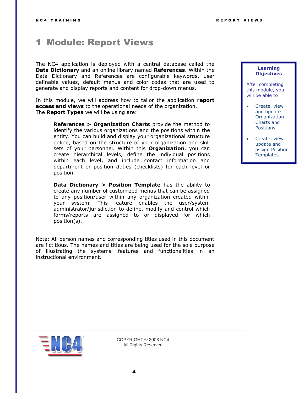### <span id="page-3-0"></span>1 Module: Report Views

The NC4 application is deployed with a central database called the **Data Dictionary** and an online library named **References**. Within the Data Dictionary and References are configurable keywords, user definable values, default menus and color codes that are used to generate and display reports and content for drop-down menus.

In this module, we will address how to tailor the application **report access and views** to the operational needs of the organization. The **Report Types** we will be using are:

**References > Organization Charts** provide the method to identify the various organizations and the positions within the entity. You can build and display your organizational structure online, based on the structure of your organization and skill sets of your personnel. Within this **Organization**, you can create hierarchical levels, define the individual positions within each level, and include contact information and department or position duties (checklists) for each level or position.

**Data Dictionary > Position Template** has the ability to create any number of customized menus that can be assigned to any position/user within any organization created within your system. This feature enables the user/system administrator/jurisdiction to define, modify and control which forms/reports are assigned to or displayed for which position(s).

Note: All person names and corresponding titles used in this document are fictitious. The names and titles are being used for the sole purpose of illustrating the systems' features and functionalities in an instructional environment.

#### **Learning Objectives**

After completing this module, you will be able to:

- Create, view and update **Organization** Charts and Positions.
- Create, view update and assign Position Templates.

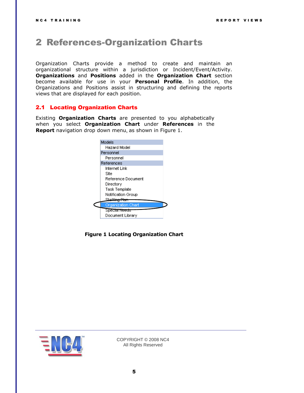### <span id="page-4-0"></span>2 References-Organization Charts

Organization Charts provide a method to create and maintain an organizational structure within a jurisdiction or Incident/Event/Activity. **Organizations** and **Positions** added in the **Organization Chart** section become available for use in your **Personal Profile**. In addition, the Organizations and Positions assist in structuring and defining the reports views that are displayed for each position.

#### <span id="page-4-1"></span>2.1 Locating Organization Charts

Existing **Organization Charts** are presented to you alphabetically when you select **Organization Chart** under **References** in the **Report** navigation drop down menu, as shown in [Figure 1.](#page-4-2)

| Models                    |  |
|---------------------------|--|
| Hazard Model              |  |
| Personnel                 |  |
| Personnel                 |  |
| References                |  |
| Internet Link             |  |
| Site                      |  |
| Reference Document        |  |
| Directory                 |  |
| Task Template             |  |
| Notification Group        |  |
| Staffine                  |  |
| <b>Organization Chart</b> |  |
| Specia <del>l Needs</del> |  |
| Document Library          |  |
|                           |  |

<span id="page-4-2"></span>**Figure 1 Locating Organization Chart**

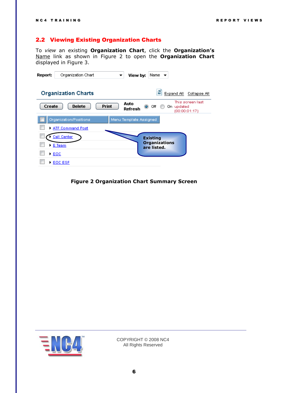#### <span id="page-5-0"></span>2.2 Viewing Existing Organization Charts

To *view* an existing **Organization Chart**, click the **Organization's** Name link as shown in [Figure 2](#page-5-1) to open the **Organization Chart** displayed in Figure 3.

| Report: | Organization Chart         |              | View by:                     | Name $\blacktriangledown$           |            |                                   |
|---------|----------------------------|--------------|------------------------------|-------------------------------------|------------|-----------------------------------|
|         | <b>Organization Charts</b> |              |                              | ø                                   | Expand All | Collapse All                      |
| Create  | <b>Delete</b>              | <b>Print</b> | Auto<br>$\bullet$<br>Refresh | Off                                 | On updated | This screen last<br>(00:00:01:17) |
|         | Organization/Positions     |              | Menu Template Assigned       |                                     |            |                                   |
|         | ATF Command Post           |              |                              |                                     |            |                                   |
|         | Call Center                |              |                              | <b>Existing</b>                     |            |                                   |
|         | $E$ Team                   |              |                              | <b>Organizations</b><br>are listed. |            |                                   |
| EOC     |                            |              |                              |                                     |            |                                   |
|         | ▶ EOC ESF                  |              |                              |                                     |            |                                   |

<span id="page-5-1"></span>**Figure 2 Organization Chart Summary Screen**

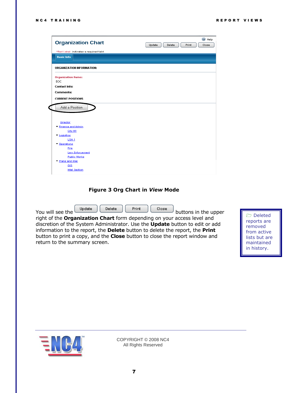| <b>Organization Chart</b>               | C Help<br>Update<br>Print<br>Delete<br>Close |
|-----------------------------------------|----------------------------------------------|
| *Red Label: indicates a required field. |                                              |
| <b>Basic Info</b>                       |                                              |
| <b>ORGANIZATION INFORMATION:</b>        |                                              |
| <b>Organization Name:</b><br>EOC.       |                                              |
| <b>Contact Info:</b>                    |                                              |
| <b>Comments:</b>                        |                                              |
|                                         |                                              |
| <b>CURRENT POSITIONS</b>                |                                              |
| Add a Position                          |                                              |
| Director                                |                                              |
| ▼ Finance and Admin<br>City HR          |                                              |
| ▼ Logistics                             |                                              |
| LSA <sub>1</sub>                        |                                              |
| ▼ Operations                            |                                              |
| Fire                                    |                                              |
| Law Enforcement                         |                                              |
| <b>Public Works</b>                     |                                              |
|                                         |                                              |
| ▼ Plans and Intel<br>GIS                |                                              |

#### **Figure 3 Org Chart in** *View* **Mode**

<span id="page-6-0"></span>You will see the  $\begin{bmatrix} \text{Update} \end{bmatrix}$   $\begin{bmatrix} \text{Delete} \end{bmatrix}$   $\begin{bmatrix} \text{finite} \end{bmatrix}$   $\begin{bmatrix} \text{close} \end{bmatrix}$  buttons in the upper

right of the **Organization Chart** form depending on your access level and discretion of the System Administrator. Use the **Update** button to edit or add information to the report, the **Delete** button to delete the report, the **Print** button to print a copy, and the **Close** button to close the report window and return to the summary screen.

 Deleted reports are removed from active lists but are maintained in history.

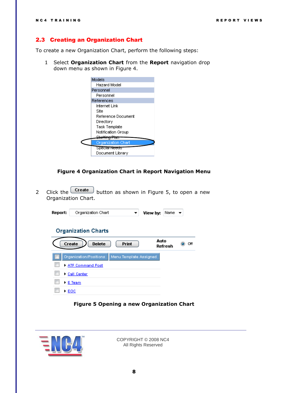#### <span id="page-7-0"></span>2.3 Creating an Organization Chart

To create a new Organization Chart, perform the following steps:

1 Select **Organization Chart** from the **Report** navigation drop down menu as shown in [Figure 4.](#page-7-1)

| Models                    |
|---------------------------|
| Hazard Model              |
| Personnel                 |
| Personnel                 |
| References                |
| Internet Link             |
| Site                      |
| Reference Document        |
| Directory                 |
| Task Template             |
| Notification Group        |
|                           |
| <b>Organization Chart</b> |
| Special Needs             |
| Document Library          |
|                           |

**Figure 4 Organization Chart in Report Navigation Menu**

<span id="page-7-1"></span>2 Click the  $\boxed{\text{Create}}$  button as shown in [Figure 5,](#page-7-2) to open a new Organization Chart.

| Report: | Organization Chart             |                        | View by: | Name    |     |
|---------|--------------------------------|------------------------|----------|---------|-----|
|         | <b>Organization Charts</b>     |                        |          |         |     |
|         | <b>Delete</b><br><b>Create</b> | Print                  | Auto     | Refresh | Off |
|         | Organization/Positions         | Menu Template Assigned |          |         |     |
|         | ATF Command Post               |                        |          |         |     |
|         | Call Center                    |                        |          |         |     |
|         | $\blacktriangleright$ E Team   |                        |          |         |     |
|         | ▶ ЕОС                          |                        |          |         |     |

#### **Figure 5 Opening a new Organization Chart**

<span id="page-7-2"></span>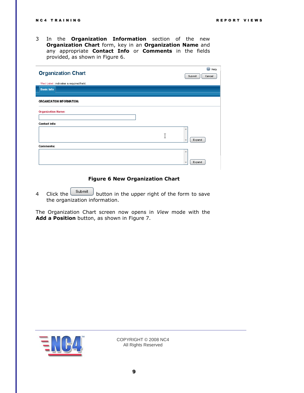3 In the **Organization Information** section of the new **Organization Chart** form, key in an **Organization Name** and any appropriate **Contact Info** or **Comments** in the fields provided, as shown in [Figure 6.](#page-8-0)

| <b>Organization Chart</b>               | ◎<br>Help<br>Submit<br>Cancel |
|-----------------------------------------|-------------------------------|
| *Red Label: indicates a required field. |                               |
| <b>Basic Info</b>                       |                               |
|                                         |                               |
| ORGANIZATION INFORMATION:               |                               |
| <b>Organization Name:</b>               |                               |
| <b>Contact Info:</b>                    |                               |
|                                         | A<br>Expand<br>$\sim$         |
| <b>Comments:</b>                        |                               |
|                                         | 盀<br>Expand                   |

#### **Figure 6 New Organization Chart**

<span id="page-8-0"></span>4 Click the  $\frac{\text{Submit}}{\text{button}}$  button in the upper right of the form to save the organization information.

The Organization Chart screen now opens in *View* mode with the **Add a Position** button, as shown in [Figure 7.](#page-9-0)

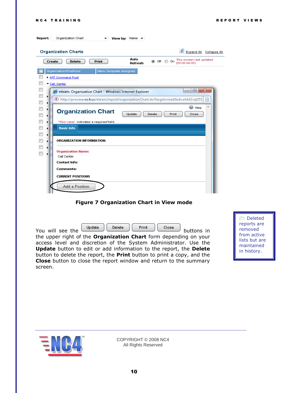| Report:                                              | Organization Chart<br>View by: Name $\rightarrow$                                                                      |
|------------------------------------------------------|------------------------------------------------------------------------------------------------------------------------|
|                                                      | э<br><b>Organization Charts</b><br>Expand All Collapse All                                                             |
|                                                      | Auto<br>This screen last updated<br>(00:00:04:00)<br><b>Delete</b><br><b>Print</b><br>◉ Off<br>Create<br>On<br>Refresh |
|                                                      | Organization/Positions<br>Menu Template Assigned                                                                       |
|                                                      | ATF Command Post                                                                                                       |
|                                                      | Call Center                                                                                                            |
|                                                      | $\mathbf{x}$<br>$\Box$<br>$\Box$<br>eteam: Organization Chart - Windows Internet Explorer                              |
| $\Box$                                               | C http://preview.nc4.us/eteam/report/organizationChart.do?target=read&id=ehk62sql151<br>感                              |
| $\overline{\phantom{a}}$<br>$\overline{\phantom{a}}$ | $\circledcirc$ Help<br><b>Organization Chart</b><br>Update<br>Delete<br>Print<br>Close                                 |
| $\Box$<br>٠                                          | *Red Label: indicates a required field.                                                                                |
| $\Box$<br>▶                                          | <b>Basic Info</b>                                                                                                      |
| $\overline{\phantom{a}}$<br>▶<br>$\Box$<br>٠         | ORGANIZATION INFORMATION:                                                                                              |
|                                                      | <b>Organization Name:</b><br>Call Center                                                                               |
|                                                      | <b>Contact Info:</b>                                                                                                   |
|                                                      | Comments:                                                                                                              |
|                                                      | <b>CURRENT POSITIONS</b>                                                                                               |
|                                                      | Add a Position                                                                                                         |

#### **Figure 7 Organization Chart in View mode**

<span id="page-9-0"></span>

| You will see the | Update | <b>Delete</b> | Print | buttons in |  |
|------------------|--------|---------------|-------|------------|--|
|                  |        |               |       |            |  |

the upper right of the **Organization Chart** form depending on your access level and discretion of the System Administrator. Use the **Update** button to edit or add information to the report, the **Delete** button to delete the report, the **Print** button to print a copy, and the **Close** button to close the report window and return to the summary screen.

 Deleted reports are removed from active lists but are maintained in history.

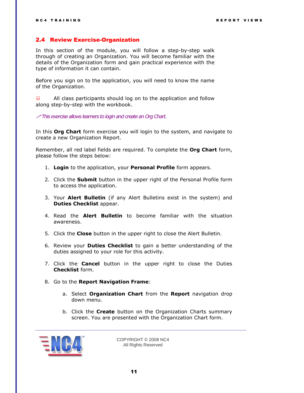#### <span id="page-10-0"></span>2.4 Review Exercise-Organization

In this section of the module, you will follow a step-by-step walk through of creating an Organization. You will become familiar with the details of the Organization form and gain practical experience with the type of information it can contain.

Before you sign on to the application, you will need to know the name of the Organization.

 $\Box$  All class participants should log on to the application and follow along step-by-step with the workbook.

*This exercise allows learners to login and create an Org Chart.* 

In this **Org Chart** form exercise you will login to the system, and navigate to create a new Organization Report.

Remember, all red label fields are required. To complete the **Org Chart** form, please follow the steps below:

- 1. **Login** to the application, your **Personal Profile** form appears.
- 2. Click the **Submit** button in the upper right of the Personal Profile form to access the application.
- 3. Your **Alert Bulletin** (if any Alert Bulletins exist in the system) and **Duties Checklist** appear.
- 4. Read the **Alert Bulletin** to become familiar with the situation awareness.
- 5. Click the **Close** button in the upper right to close the Alert Bulletin.
- 6. Review your **Duties Checklist** to gain a better understanding of the duties assigned to your role for this activity.
- 7. Click the **Cancel** button in the upper right to close the Duties **Checklist** form.
- 8. Go to the **Report Navigation Frame**:
	- a. Select **Organization Chart** from the **Report** navigation drop down menu.
	- b. Click the **Create** button on the Organization Charts summary screen. You are presented with the Organization Chart form.

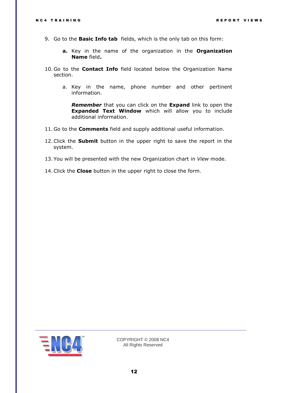- 9. Go to the **Basic Info tab** fields, which is the only tab on this form:
	- **a.** Key in the name of the organization in the **Organization Name** field**.**
- 10. Go to the **Contact Info** field located below the Organization Name section.
	- a. Key in the name, phone number and other pertinent information.

*Remember* that you can click on the **Expand** link to open the **Expanded Text Window** which will allow you to include additional information.

- 11. Go to the **Comments** field and supply additional useful information.
- 12.Click the **Submit** button in the upper right to save the report in the system.
- 13. You will be presented with the new Organization chart in *View* mode.
- 14.Click the **Close** button in the upper right to close the form.

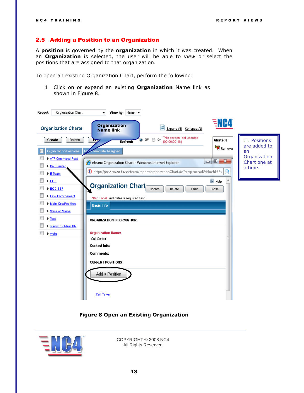### <span id="page-12-0"></span>2.5 Adding a Position to an Organization

A **position** is governed by the **organization** in which it was created. When an **Organization** is selected, the user will be able to *view* or select the positions that are assigned to that organization.

To open an existing Organization Chart, perform the following:

1 Click on or expand an existing **Organization** Name link as shown in [Figure 8.](#page-12-1)

| Organization Chart<br>Report:       | View by: Name $\rightarrow$<br>▼                                                               |                              |
|-------------------------------------|------------------------------------------------------------------------------------------------|------------------------------|
| <b>Organization Charts</b>          | ENC4<br><b>Organization</b><br>ø<br>Expand All Collapse All<br><b>Name link</b>                |                              |
| <b>Delete</b><br>Create             | This screen last updated<br>O Off O On<br>Alerts: 0<br>Priy<br>(00:00:00:18)<br><b>Refresh</b> | <b>Positions</b>             |
| Organization/Positions              | Remove<br>Template Assigned                                                                    | are added to<br>an           |
| ATF Command Post<br>Call Center     | $\mathbf{x}$<br>$\Box$<br>$\Box$<br>eteam: Organization Chart - Windows Internet Explorer      | Organization<br>Chart one at |
| E Team                              | 図<br>http://preview.nc4.us/eteam/report/organizationChart.do?target=read&id=ehk62s             | a time.                      |
| EOC<br>EOC ESE                      | C Help<br><b>Organization Chart</b><br>Update<br>Delete<br>Print<br>Close                      |                              |
| <b>Law Enforcement</b>              | *Red Label: indicates a required field.                                                        |                              |
| Main Org/Position<br>State of Maine | <b>Basic Info</b>                                                                              |                              |
| $F$ Test<br>Firanslink Main HQ      | ORGANIZATION INFORMATION:                                                                      |                              |
| > wpfg                              | <b>Organization Name:</b>                                                                      |                              |
|                                     | Ξ<br>Call Center                                                                               |                              |
|                                     | <b>Contact Info:</b><br>Comments:                                                              |                              |
|                                     |                                                                                                |                              |
|                                     | <b>CURRENT POSITIONS</b>                                                                       |                              |
|                                     | Add a Position                                                                                 |                              |
|                                     | Call Taker                                                                                     |                              |

#### **Figure 8 Open an Existing Organization**

<span id="page-12-1"></span>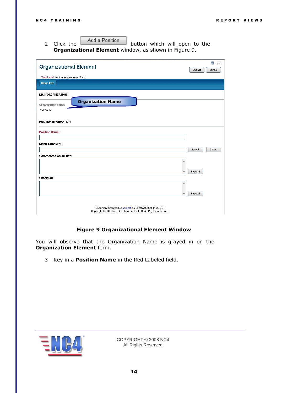2 Click the Add a Position button which will open to the **Organizational Element** window, as shown in [Figure 9.](#page-13-0)

| <b>Organizational Element</b>                                                                                              | Submit | C Help<br>Cancel |
|----------------------------------------------------------------------------------------------------------------------------|--------|------------------|
| *Red Label: indicates a required field.                                                                                    |        |                  |
| <b>Basic Info</b>                                                                                                          |        |                  |
|                                                                                                                            |        |                  |
| <b>MAIN ORGANIZATION:</b>                                                                                                  |        |                  |
| <b>Organization Name</b><br>Organization Name:                                                                             |        |                  |
| Call Center                                                                                                                |        |                  |
|                                                                                                                            |        |                  |
| POSITION INFORMATION:                                                                                                      |        |                  |
|                                                                                                                            |        |                  |
| <b>Position Name:</b>                                                                                                      |        |                  |
|                                                                                                                            |        |                  |
| Menu Template:                                                                                                             |        |                  |
|                                                                                                                            | Select | Clear            |
| <b>Comments/Contact Info:</b>                                                                                              |        |                  |
|                                                                                                                            |        |                  |
|                                                                                                                            | Expand |                  |
| <b>Checklist:</b>                                                                                                          |        |                  |
|                                                                                                                            |        |                  |
|                                                                                                                            |        |                  |
|                                                                                                                            | Expand |                  |
|                                                                                                                            |        |                  |
| Document Created by: content on 09/21/2009 at 11:33 EST<br>Copyright @ 2009 by NC4 Public Sector LLC, All Rights Reserved. |        |                  |

#### **Figure 9 Organizational Element Window**

<span id="page-13-0"></span>You will observe that the Organization Name is grayed in on the **Organization Element** form.

3 Key in a **Position Name** in the Red Labeled field.

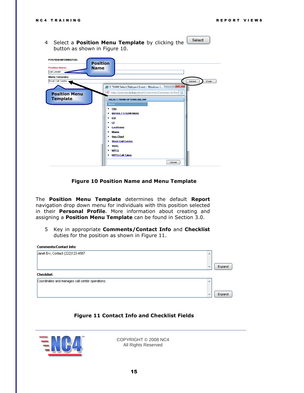Select 4 Select a **Position Menu Template** by clicking the button as shown in [Figure 10.](#page-14-0)

| POSITION INFORMATION:<br><b>Position</b><br><b>Position Name:</b><br><b>Name</b><br>Call Leader |                                                                                                                                                                                                                                                                                                                                                                                                                    |
|-------------------------------------------------------------------------------------------------|--------------------------------------------------------------------------------------------------------------------------------------------------------------------------------------------------------------------------------------------------------------------------------------------------------------------------------------------------------------------------------------------------------------------|
| Menu Template:                                                                                  |                                                                                                                                                                                                                                                                                                                                                                                                                    |
| Short Call Center                                                                               | Select<br>Clear                                                                                                                                                                                                                                                                                                                                                                                                    |
| <b>Position Menu</b><br><b>Template</b>                                                         | $-25$<br>$\Box$<br>E TEAM Select Relevant Event - Windows I<br>http://preview.nc4.us/eteam/common/Common.do?tar  <br>図<br><b>SELECT FROM OPTIONS BELOW</b><br>Name<br>City<br>٠<br><b>DEFAULT ETEAM MENU</b><br>٠<br><b>ESF</b><br>٠<br>LE<br>٠<br>Lockheed<br>٠<br>Maine<br>٠<br>Ops Chief<br>٠<br><b>Short Call Center</b><br>٠<br><b>VEOC</b><br>٠<br><b>WPFG</b><br>٠<br><b>WPFG Call Taker</b><br>٠<br>Cancel |

#### **Figure 10 Position Name and Menu Template**

<span id="page-14-0"></span>The **Position Menu Template** determines the default **Report** navigation drop down menu for individuals with this position selected in their **Personal Profile**. More information about creating and assigning a **Position Menu Template** can be found in Section 3.0.

5 Key in appropriate **Comments/Contact Info** and **Checklist** duties for the position as shown in [Figure 11.](#page-14-1)

| <b>Comments/Contact Info:</b>                   |                          |        |
|-------------------------------------------------|--------------------------|--------|
| Janet Erv, Contact (222)123-4567                |                          |        |
|                                                 | $\overline{\phantom{m}}$ | Expand |
| <b>Checklist:</b>                               |                          |        |
| Coordinates and manages call center operations. |                          |        |
|                                                 | $\overline{\phantom{a}}$ | Expand |

#### **Figure 11 Contact Info and Checklist Fields**

<span id="page-14-1"></span>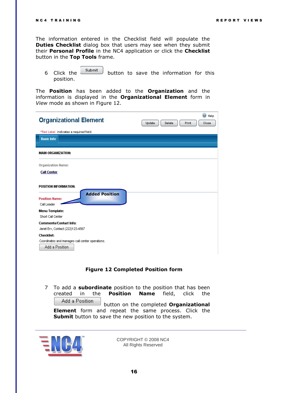The information entered in the Checklist field will populate the **Duties Checklist** dialog box that users may see when they submit their **Personal Profile** in the NC4 application or click the **Checklist** button in the **Top Tools** frame.

6 Click the **Submit** button to save the information for this position.

The **Position** has been added to the **Organization** and the information is displayed in the **Organizational Element** form in *View* mode as shown in [Figure 12.](#page-15-0)

| <b>Organizational Element</b>                                                                 | ◎<br>Help<br>Print<br>Update<br>Delete<br>Close |
|-----------------------------------------------------------------------------------------------|-------------------------------------------------|
| *Red Label: indicates a required field.                                                       |                                                 |
| <b>Basic Info</b>                                                                             |                                                 |
|                                                                                               |                                                 |
| <b>MAIN ORGANIZATION:</b>                                                                     |                                                 |
| <b>Organization Name:</b>                                                                     |                                                 |
| <b>Call Center</b>                                                                            |                                                 |
| <b>POSITION INFORMATION:</b><br><b>Added Position</b><br><b>Position Name:</b><br>Call Leader |                                                 |
| Menu Template:                                                                                |                                                 |
| Short Call Center                                                                             |                                                 |
| <b>Comments/Contact Info:</b>                                                                 |                                                 |
| Janet Erv, Contact (222)123-4567                                                              |                                                 |
| <b>Checklist:</b>                                                                             |                                                 |
| Coordinates and manages call center operations.<br>Add a Position                             |                                                 |

#### **Figure 12 Completed Position form**

<span id="page-15-0"></span>7 To add a **subordinate** position to the position that has been created in the **Position Name** field, click the Add a Position button on the completed **Organizational Element** form and repeat the same process. Click the **Submit** button to save the new position to the system.

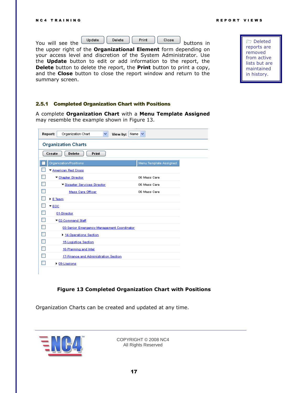Deleted reports are removed from active lists but are maintained in history.

|                  | Update | Delete | Print | Close |            |
|------------------|--------|--------|-------|-------|------------|
| You will see the |        |        |       |       | buttons in |

the upper right of the **Organizational Element** form depending on your access level and discretion of the System Administrator. Use the **Update** button to edit or add information to the report, the **Delete** button to delete the report, the **Print** button to print a copy, and the **Close** button to close the report window and return to the summary screen.

#### <span id="page-16-0"></span>2.5.1 Completed Organization Chart with Positions

A complete **Organization Chart** with a **Menu Template Assigned** may resemble the example shown in [Figure 13.](#page-16-1)

| Report:<br>Organization Chart<br>View by:<br>v | Name $\vee$            |
|------------------------------------------------|------------------------|
| <b>Organization Charts</b>                     |                        |
| Delete<br><b>Print</b><br>Create               |                        |
| Organization/Positions                         | Menu Template Assigned |
| American Red Cross                             |                        |
| Chapter Director                               | 06 Mass Care           |
| Disaster Services Director                     | 06 Mass Care           |
| Mass Care Officer                              | 06 Mass Care           |
| $E$ Team                                       |                        |
| $\star$ EOC                                    |                        |
| 01-Director                                    |                        |
| 102-Command Staff                              |                        |
| 03-Senior Emergency Management Coordinator     |                        |
| 14-Operations Section                          |                        |
| 15-Logistice Section                           |                        |
| 16-Planning and Intel                          |                        |
| 17-Finance and Administration Section          |                        |
| $\triangleright$ 09-Liasions                   |                        |
|                                                |                        |

#### **Figure 13 Completed Organization Chart with Positions**

<span id="page-16-1"></span>Organization Charts can be created and updated at any time.

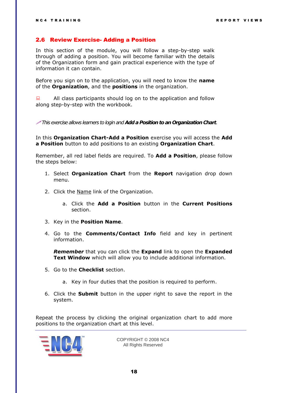#### <span id="page-17-0"></span>2.6 Review Exercise- Adding a Position

In this section of the module, you will follow a step-by-step walk through of adding a position. You will become familiar with the details of the Organization form and gain practical experience with the type of information it can contain.

Before you sign on to the application, you will need to know the **name** of the **Organization**, and the **positions** in the organization.

 $\Box$  All class participants should log on to the application and follow along step-by-step with the workbook.

*This exercise allows learners to login and Add a Position to an Organization Chart.* 

In this **Organization Chart-Add a Position** exercise you will access the **Add a Position** button to add positions to an existing **Organization Chart**.

Remember, all red label fields are required. To **Add a Position**, please follow the steps below:

- 1. Select **Organization Chart** from the **Report** navigation drop down menu.
- 2. Click the Name link of the Organization.
	- a. Click the **Add a Position** button in the **Current Positions** section.
- 3. Key in the **Position Name**.
- 4. Go to the **Comments/Contact Info** field and key in pertinent information.

*Remember* that you can click the **Expand** link to open the **Expanded Text Window** which will allow you to include additional information.

- 5. Go to the **Checklist** section.
	- a. Key in four duties that the position is required to perform.
- 6. Click the **Submit** button in the upper right to save the report in the system.

Repeat the process by clicking the original organization chart to add more positions to the organization chart at this level.

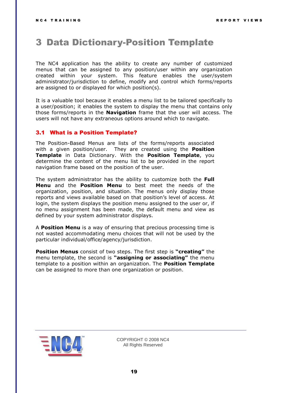### <span id="page-18-0"></span>3 Data Dictionary-Position Template

The NC4 application has the ability to create any number of customized menus that can be assigned to any position/user within any organization created within your system. This feature enables the user/system administrator/jurisdiction to define, modify and control which forms/reports are assigned to or displayed for which position(s).

It is a valuable tool because it enables a menu list to be tailored specifically to a user/position; it enables the system to display the menu that contains only those forms/reports in the **Navigation** frame that the user will access. The users will not have any extraneous options around which to navigate.

#### <span id="page-18-1"></span>3.1 What is a Position Template?

The Position-Based Menus are lists of the forms/reports associated with a given position/user. They are created using the **Position Template** in Data Dictionary. With the **Position Template**, you determine the content of the menu list to be provided in the report navigation frame based on the position of the user.

The system administrator has the ability to customize both the **Full Menu** and the **Position Menu** to best meet the needs of the organization, position, and situation. The menus only display those reports and views available based on that position's level of access. At login, the system displays the position menu assigned to the user or, if no menu assignment has been made, the default menu and view as defined by your system administrator displays.

A **Position Menu** is a way of ensuring that precious processing time is not wasted accommodating menu choices that will not be used by the particular individual/office/agency/jurisdiction.

**Position Menus** consist of two steps. The first step is **"creating"** the menu template, the second is **"assigning or associating"** the menu template to a position within an organization. The **Position Template** can be assigned to more than one organization or position.

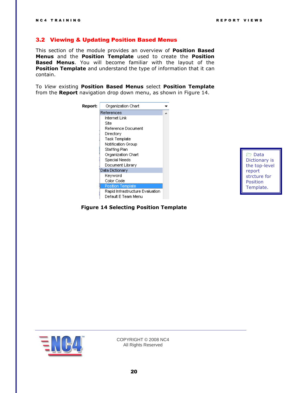#### <span id="page-19-0"></span>3.2 Viewing & Updating Position Based Menus

This section of the module provides an overview of **Position Based Menus** and the **Position Template** used to create the **Position Based Menus**. You will become familiar with the layout of the **Position Template** and understand the type of information that it can contain.

To *View* existing **Position Based Menus** select **Position Template** from the **Report** navigation drop down menu, as shown in [Figure 14.](#page-19-1)



**Data** Dictionary is the top-level report strcture for Position Template.

<span id="page-19-1"></span>

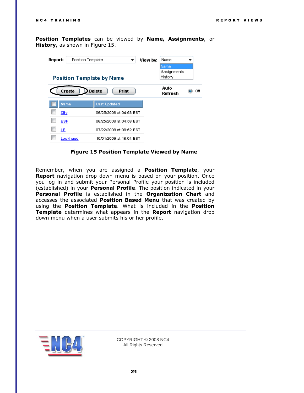**Position Templates** can be viewed by **Name, Assignments**, or **History,** as shown in [Figure 15.](#page-20-0)

| Report: | Position Template                |                               | View by: | Name                   |     |
|---------|----------------------------------|-------------------------------|----------|------------------------|-----|
|         |                                  |                               |          | iName                  |     |
|         | <b>Position Template by Name</b> |                               |          | Assignments<br>History |     |
|         | Create                           | <b>Delete</b><br><b>Print</b> |          | Auto<br>Refresh        | Off |
|         | Name                             | <b>Last Updated</b>           |          |                        |     |
|         | City                             | 06/25/2008 at 04:53 EST       |          |                        |     |
|         | ESF                              | 06/25/2008 at 04:56 EST       |          |                        |     |
|         | LE                               | 07/22/2009 at 08:52 EST       |          |                        |     |
|         | Lockheed                         | 10/01/2009 at 16:04 EST       |          |                        |     |

**Figure 15 Position Template Viewed by Name**

<span id="page-20-0"></span>Remember, when you are assigned a **Position Template**, your **Report** navigation drop down menu is based on your position. Once you log in and submit your Personal Profile your position is included (established) in your **Personal Profile**. The position indicated in your **Personal Profile** is established in the **Organization Chart** and accesses the associated **Position Based Menu** that was created by using the **Position Template**. What is included in the **Position Template** determines what appears in the **Report** navigation drop down menu when a user submits his or her profile.

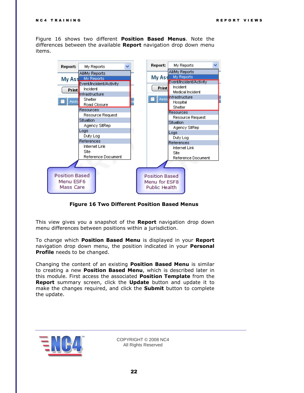[Figure 16](#page-21-0) shows two different **Position Based Menus**. Note the differences between the available **Report** navigation drop down menu items.



**Figure 16 Two Different Position Based Menus**

<span id="page-21-0"></span>This view gives you a snapshot of the **Report** navigation drop down menu differences between positions within a jurisdiction.

To change which **Position Based Menu** is displayed in your **Report**  navigation drop down menu, the position indicated in your **Personal Profile** needs to be changed.

Changing the content of an existing **Position Based Menu** is similar to creating a new **Position Based Menu**, which is described later in this module. First access the associated **Position Template** from the **Report** summary screen, click the **Update** button and update it to make the changes required, and click the **Submit** button to complete the update.

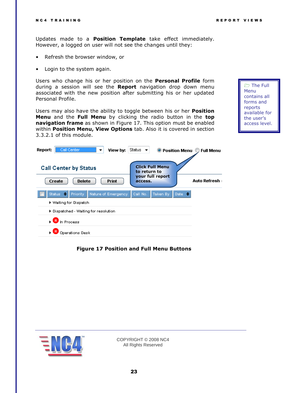Updates made to a **Position Template** take effect immediately. However, a logged on user will not see the changes until they:

- Refresh the browser window, or
- Login to the system again.

Users who change his or her position on the **Personal Profile** form during a session will see the **Report** navigation drop down menu associated with the new position after submitting his or her updated Personal Profile.

Users may also have the ability to toggle between his or her **Position Menu** and the **Full Menu** by clicking the radio button in the **top navigation frame** as shown in [Figure 17.](#page-22-0) This option must be enabled within **Position Menu, View Options** tab. Also it is covered in section 3.3.2.1 of this module.

**The Full** Menu contains all forms and reports available for the user's access level.

| Report:<br>- Call Center<br>View by:<br>▼                               | Status $\blacktriangleright$<br>O Position Menu<br><b>Full Menu</b>                   |
|-------------------------------------------------------------------------|---------------------------------------------------------------------------------------|
| <b>Call Center by Status</b><br>Create<br><b>Delete</b><br><b>Print</b> | <b>Click Full Menu</b><br>to return to<br>your full report<br>Auto Refresh<br>access. |
| <b>Priority</b><br>Nature of Emergency<br>Status $\bullet$              | Call No.<br>Taken By<br>Date $\Rightarrow$                                            |
| $\blacktriangleright$ Waiting for Dispatch                              |                                                                                       |
| $\blacktriangleright$ Dispatched - Waiting for resolution               |                                                                                       |
| $R$ In Process                                                          |                                                                                       |
| Operations Desk                                                         |                                                                                       |

#### <span id="page-22-0"></span>**Figure 17 Position and Full Menu Buttons**

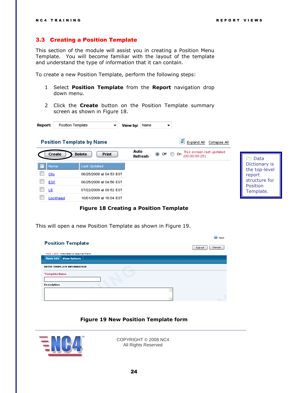#### <span id="page-23-0"></span>3.3 Creating a Position Template

This section of the module will assist you in creating a Position Menu Template. You will become familiar with the layout of the template and understand the type of information that it can contain.

To create a new Position Template, perform the following steps:

- 1 Select **Position Template** from the **Report** navigation drop down menu.
- 2 Click the **Create** button on the Position Template summary screen as shown in [Figure 18.](#page-23-1)

| Position Template<br>Report:     | View by:<br>▼                                      | Name<br>▼                                                                                  |                                          |
|----------------------------------|----------------------------------------------------|--------------------------------------------------------------------------------------------|------------------------------------------|
| <b>Position Template by Name</b> |                                                    | ø<br>Collapse All<br>Expand All                                                            |                                          |
| Create                           | <b>Delete</b><br><b>Print</b>                      | Auto<br>This screen last updated<br>$\odot$ off $\odot$<br>On.<br>(00:00:00:25)<br>Refresh | Data<br>$\rightarrow$                    |
| Name<br>City                     | <b>Last Updated</b><br>06/25/2008 at 04:53 EST     |                                                                                            | Dictionary is<br>the top-level<br>report |
| <b>ESF</b>                       | 06/25/2008 at 04:56 EST                            |                                                                                            | structure for<br>Position                |
| LE<br>Lookheed                   | 07/22/2009 at 08:52 EST<br>10/01/2009 at 16:04 EST |                                                                                            | Template.                                |

#### **Figure 18 Creating a Position Template**

<span id="page-23-1"></span>This will open a new Position Template as shown in [Figure 19.](#page-23-2)

|                                          | ☑<br>Help        |
|------------------------------------------|------------------|
| <b>Position Template</b>                 | Cancel<br>Submit |
| *Red Label: indicates a required field.  |                  |
| <b>Basic Info</b><br><b>View Options</b> |                  |
|                                          |                  |
| <b>ENTER TEMPLATE INFORMATION</b>        |                  |
| *Template Name                           |                  |
|                                          |                  |
| Description                              |                  |
|                                          |                  |
|                                          |                  |
|                                          |                  |

#### **Figure 19 New Position Template form**

<span id="page-23-2"></span>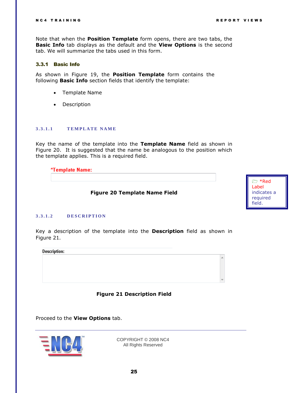Note that when the **Position Template** form opens, there are two tabs, the **Basic Info** tab displays as the default and the **View Options** is the second tab. We will summarize the tabs used in this form.

#### <span id="page-24-0"></span>3.3.1 Basic Info

As shown in [Figure 19,](#page-23-2) the **Position Template** form contains the following **Basic Info** section fields that identify the template:

- Template Name
- Description

#### <span id="page-24-1"></span>**3 . 3 . 1 . 1 T E M P L A T E N A M E**

Key the name of the template into the **Template Name** field as shown in [Figure 20.](#page-24-3) It is suggested that the name be analogous to the position which the template applies. This is a required field.

#### \*Template Name:

**Figure 20 Template Name Field**



#### <span id="page-24-3"></span><span id="page-24-2"></span>**3 . 3 . 1 . 2 D E S C R I P T I O N**

Key a description of the template into the **Description** field as shown in [Figure 21](#page-24-4).

**Description:** 





<span id="page-24-4"></span>Proceed to the **View Options** tab.

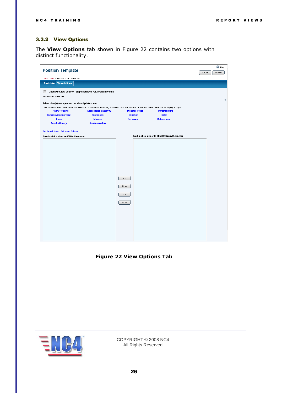#### <span id="page-25-0"></span>3.3.2 View Options

The **View Options** tab shown in [Figure 22](#page-25-1) contains two options with distinct functionality.

| <b>Position Template</b>                          |                                                                                                                                                       |                                      |                                             | C Help<br>Submit<br>Cancel |
|---------------------------------------------------|-------------------------------------------------------------------------------------------------------------------------------------------------------|--------------------------------------|---------------------------------------------|----------------------------|
| *Red Label: indicates a required field.           |                                                                                                                                                       |                                      |                                             |                            |
| <b>Basic Info</b><br><b>View Options</b>          |                                                                                                                                                       |                                      |                                             |                            |
| $\Box$<br><b>VIEW MENU OPTIONS</b>                | Check to Allow User to Toggle Between Full/Position Menus                                                                                             |                                      |                                             |                            |
| Select view(s) to appear on the View/Update menu. | Click on link below to view all options available. When finished defining the menu, click SET DEFAULT VIEW and make a selection to display at log in. |                                      |                                             |                            |
| <b>All/My Reports</b>                             | <b>Event/Incident/Activity</b>                                                                                                                        | <b>Disaster Relief</b>               | <b>Infrastructure</b>                       |                            |
| <b>Damage Assessment</b>                          | <b>Resources</b><br><b>Models</b>                                                                                                                     | <b>Situation</b><br><b>Personnel</b> | <b>Tasks</b><br><b>References</b>           |                            |
| Logs<br><b>Data Dictionary</b>                    | <b>Administration</b>                                                                                                                                 |                                      |                                             |                            |
| Set Default View Set Menu Options                 |                                                                                                                                                       |                                      |                                             |                            |
| Double click a view to ADD to the menu            |                                                                                                                                                       |                                      | Double click a view to REMOVE from the menu |                            |
|                                                   |                                                                                                                                                       |                                      |                                             |                            |
|                                                   |                                                                                                                                                       |                                      |                                             |                            |
|                                                   |                                                                                                                                                       |                                      |                                             |                            |
|                                                   |                                                                                                                                                       |                                      |                                             |                            |
|                                                   |                                                                                                                                                       |                                      |                                             |                            |
|                                                   |                                                                                                                                                       |                                      |                                             |                            |
|                                                   |                                                                                                                                                       |                                      |                                             |                            |
|                                                   |                                                                                                                                                       |                                      |                                             |                            |
|                                                   |                                                                                                                                                       | $\gg \gg$                            |                                             |                            |
|                                                   |                                                                                                                                                       | $Al \gg$                             |                                             |                            |
|                                                   |                                                                                                                                                       |                                      |                                             |                            |
|                                                   |                                                                                                                                                       | $<\,<$                               |                                             |                            |
|                                                   |                                                                                                                                                       | Al <                                 |                                             |                            |
|                                                   |                                                                                                                                                       |                                      |                                             |                            |
|                                                   |                                                                                                                                                       |                                      |                                             |                            |
|                                                   |                                                                                                                                                       |                                      |                                             |                            |
|                                                   |                                                                                                                                                       |                                      |                                             |                            |
|                                                   |                                                                                                                                                       |                                      |                                             |                            |
|                                                   |                                                                                                                                                       |                                      |                                             |                            |
|                                                   |                                                                                                                                                       |                                      |                                             |                            |
|                                                   |                                                                                                                                                       |                                      |                                             |                            |

<span id="page-25-1"></span>**Figure 22 View Options Tab**

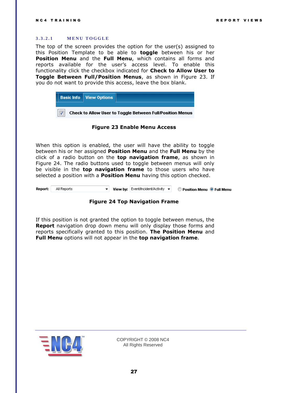#### <span id="page-26-0"></span>**3.3.2.1 MENU TOGGLE**

The top of the screen provides the option for the user(s) assigned to this Position Template to be able to **toggle** between his or her **Position Menu** and the **Full Menu**, which contains all forms and reports available for the user's access level. To enable this functionality click the checkbox indicated for **Check to Allow User to Toggle Between Full/Position Menus**, as shown in [Figure 23.](#page-26-1) If you do not want to provide this access, leave the box blank.



#### **Figure 23 Enable Menu Access**

<span id="page-26-1"></span>When this option is enabled, the user will have the ability to toggle between his or her assigned **Position Menu** and the **Full Menu** by the click of a radio button on the **top navigation frame**, as shown in [Figure 24.](#page-26-2) The radio buttons used to toggle between menus will only be visible in the **top navigation frame** to those users who have selected a position with a **Position Menu** having this option checked.

<span id="page-26-2"></span>Report: All Reports  $\mathbf{v}$  **View by:** Event/Incident/Activity  $\mathbf{v}$ C Position Menu O Full Menu



If this position is not granted the option to toggle between menus, the **Report** navigation drop down menu will only display those forms and reports specifically granted to this position. **The Position Menu** and **Full Menu** options will not appear in the **top navigation frame**.

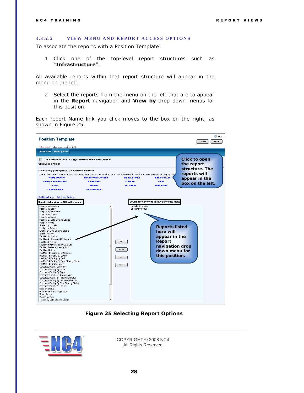#### <span id="page-27-0"></span>3.3.2.2 **VIEW MENU AND REPORT ACCESS OPTIONS**

To associate the reports with a Position Template:

1 Click one of the top-level report structures such as ―**Infrastructure**‖.

All available reports within that report structure will appear in the menu on the left.

2 Select the reports from the menu on the left that are to appear in the **Report** navigation and **View by** drop down menus for this position.

Each report Name link you click moves to the box on the right, as shown in [Figure 25.](#page-27-1)



**Figure 25 Selecting Report Options**

<span id="page-27-1"></span>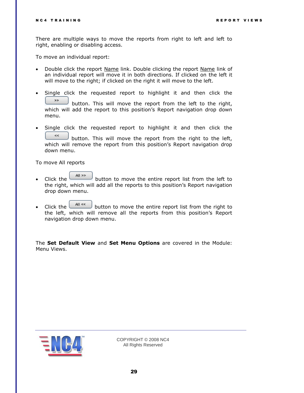There are multiple ways to move the reports from right to left and left to right, enabling or disabling access.

To move an individual report:

- Double click the report Name link. Double clicking the report Name link of an individual report will move it in both directions. If clicked on the left it will move to the right; if clicked on the right it will move to the left.
- Single click the requested report to highlight it and then click the  $>\!>$ button. This will move the report from the left to the right, which will add the report to this position's Report navigation drop down menu.
- Single click the requested report to highlight it and then click the  $\approx$ button. This will move the report from the right to the left, which will remove the report from this position's Report navigation drop down menu.

To move All reports

- Click the button to move the entire report list from the left to the right, which will add all the reports to this position's Report navigation drop down menu.
- Click the  $\frac{|\mathsf{AII}|\ll|}{|\mathsf{AII}|\ll|}$  button to move the entire report list from the right to the left, which will remove all the reports from this position's Report navigation drop down menu.

The **Set Default View** and **Set Menu Options** are covered in the Module: Menu Views.

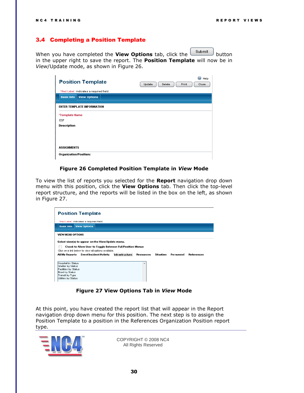#### <span id="page-29-0"></span>3.4 Completing a Position Template

When you have completed the **View Options** tab, click the **submit** button in the upper right to save the report. The **Position Template** will now be in *View*/Update mode, as shown in [Figure 26.](#page-29-1)

| <b>Position Template</b>                 | Help<br>Update<br>Delete<br>Print<br>Close |
|------------------------------------------|--------------------------------------------|
| *Red Label: indicates a required field.  |                                            |
| <b>View Options</b><br><b>Basic Info</b> |                                            |
|                                          |                                            |
| <b>ENTER TEMPLATE INFORMATION</b>        |                                            |
| *Template Name                           |                                            |
| <b>ESF</b>                               |                                            |
| Description                              |                                            |
|                                          |                                            |
|                                          |                                            |
|                                          |                                            |
| <b>ASSIGNMENTS</b>                       |                                            |
| Organization/Position:                   |                                            |

#### **Figure 26 Completed Position Template in** *View* **Mode**

<span id="page-29-1"></span>To view the list of reports you selected for the **Report** navigation drop down menu with this position, click the **View Options** tab. Then click the top-level report structure, and the reports will be listed in the box on the left, as shown in [Figure 27.](#page-29-2)



#### **Figure 27 View Options Tab in** *View* **Mode**

<span id="page-29-2"></span>At this point, you have created the report list that will appear in the Report navigation drop down menu for this position. The next step is to assign the Position Template to a position in the References Organization Position report type.

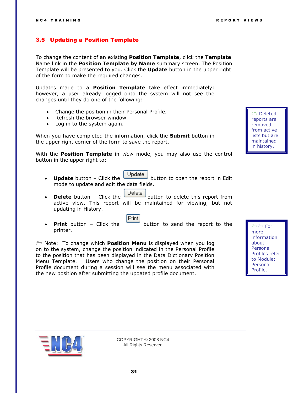#### <span id="page-30-0"></span>3.5 Updating a Position Template

To change the content of an existing **Position Template**, click the **Template**  Name link in the **Position Template by Name** summary screen. The Position Template will be presented to you. Click the **Update** button in the upper right of the form to make the required changes.

Updates made to a **Position Template** take effect immediately; however, a user already logged onto the system will not see the changes until they do one of the following:

- Change the position in their Personal Profile.
- Refresh the browser window.
- Log in to the system again.

When you have completed the information, click the **Submit** button in the upper right corner of the form to save the report.

With the **Position Template** in *view* mode, you may also use the control button in the upper right to:

- **Update** button Click the Update button to open the report in Edit mode to update and edit the data fields.
- **Delete** button Click the **Delete** button to delete this report from active view. This report will be maintained for viewing, but not updating in History.
- printer.

Print **Print** button – Click the button to send the report to the

 Note: To change which **Position Menu** is displayed when you log on to the system, change the position indicated in the Personal Profile to the position that has been displayed in the Data Dictionary Position Menu Template. Users who change the position on their Personal Profile document during a session will see the menu associated with the new position after submitting the updated profile document.

 Deleted reports are removed from active lists but are maintained in history.

 For more information about Personal Profiles refer to Module: Personal Profile.

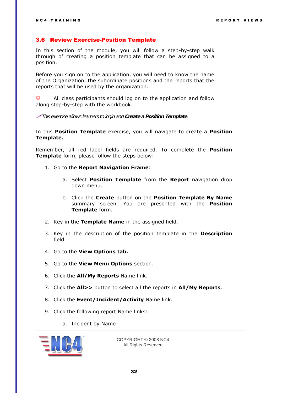#### <span id="page-31-0"></span>3.6 Review Exercise-Position Template

In this section of the module, you will follow a step-by-step walk through of creating a position template that can be assigned to a position.

Before you sign on to the application, you will need to know the name of the Organization, the subordinate positions and the reports that the reports that will be used by the organization.

 $\Box$  All class participants should log on to the application and follow along step-by-step with the workbook.

*This exercise allows learners to login and Create a Position Template.* 

In this **Position Template** exercise, you will navigate to create a **Position Template.** 

Remember, all red label fields are required. To complete the **Position Template** form, please follow the steps below:

- 1. Go to the **Report Navigation Frame**:
	- a. Select **Position Template** from the **Report** navigation drop down menu.
	- b. Click the **Create** button on the **Position Template By Name** summary screen. You are presented with the **Position Template** form.
- 2. Key in the **Template Name** in the assigned field.
- 3. Key in the description of the position template in the **Description** field.
- 4. Go to the **View Options tab.**
- 5. Go to the **View Menu Options** section.
- 6. Click the **All/My Reports** Name link.
- 7. Click the **All>>** button to select all the reports in **All/My Reports**.
- 8. Click the **Event/Incident/Activity** Name link.
- 9. Click the following report Name links:
	- a. Incident by Name

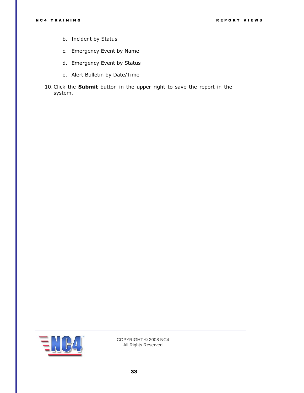- b. Incident by Status
- c. Emergency Event by Name
- d. Emergency Event by Status
- e. Alert Bulletin by Date/Time
- 10.Click the **Submit** button in the upper right to save the report in the system.

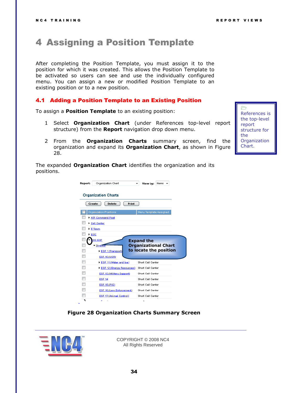### <span id="page-33-0"></span>4 Assigning a Position Template

After completing the Position Template, you must assign it to the position for which it was created. This allows the Position Template to be activated so users can see and use the individually configured menu. You can assign a new or modified Position Template to an existing position or to a new position.

#### <span id="page-33-1"></span>4.1 Adding a Position Template to an Existing Position

To assign a **Position Template** to an existing position:

- 1 Select **Organization Chart** (under References top-level report structure) from the **Report** navigation drop down menu.
- 2 From the **Organization Charts** summary screen, find the organization and expand its **Organization Chart**, as shown in [Figure](#page-33-2)  [28.](#page-33-2)

The expanded **Organization Chart** identifies the organization and its positions.

| Report: | Organization Chart         | View by:                    | Name |  |
|---------|----------------------------|-----------------------------|------|--|
|         | <b>Organization Charts</b> |                             |      |  |
| Create  | Print<br><b>Delete</b>     |                             |      |  |
|         | Organization/Positions     | Menu Template Assigned      |      |  |
|         | <b>ATF Command Post</b>    |                             |      |  |
|         | Call Center                |                             |      |  |
|         | $E$ Team                   |                             |      |  |
|         |                            |                             |      |  |
| EOC     |                            |                             |      |  |
|         | OC ESF                     | <b>Expand the</b>           |      |  |
|         | Director                   | <b>Organizational Chart</b> |      |  |
|         | ESF 1 (Transporta          | to locate the position      |      |  |
|         | ESF 10 (USR)               |                             |      |  |
|         | ESF 11 (Water and loe)     | Short Call Center           |      |  |
|         | ESF 12 (Energy Resources)  | Short Call Center           |      |  |
|         | ESF 13 (Military Support)  | Short Call Center           |      |  |
| ┍<br>┍  | <b>ESF 14</b>              | Short Call Center           |      |  |
| ┍       | ESF 15 (PIO)               | Short Call Center           |      |  |
| П       | ESF 16 (Law Enforcement)   | Short Call Center           |      |  |
|         | ESF 17 (Animal Control)    | Short Call Center           |      |  |

#### **Figure 28 Organization Charts Summary Screen**

<span id="page-33-2"></span>

COPYRIGHT © 2008 NC4 All Rights Reserved

 $\Rightarrow$ References is the top-level report structure for the **Organization** Chart.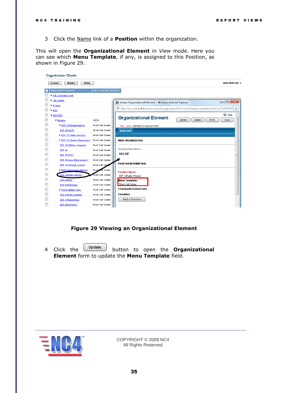3 Click the Name link of a **Position** within the organization.

This will open the **Organizational Element** in *View* mode. Here you can see which **Menu Template**, if any, is assigned to this Position, as shown in [Figure 29.](#page-34-0)



#### **Figure 29 Viewing an Organizational Element**

<span id="page-34-0"></span>4 Click the <sup>Update</sup> button to open the **Organizational Element** form to update the **Menu Template** field.

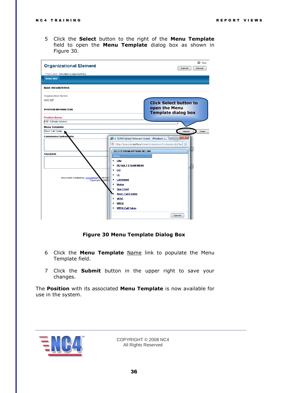5 Click the **Select** button to the right of the **Menu Template** field to open the **Menu Template** dialog box as shown in [Figure 30.](#page-35-0)

| <b>Organizational Element</b>                                                                    |                                                                                                                                                                                                                                                                                                                            | C Help<br>Submit<br>Cancel                  |
|--------------------------------------------------------------------------------------------------|----------------------------------------------------------------------------------------------------------------------------------------------------------------------------------------------------------------------------------------------------------------------------------------------------------------------------|---------------------------------------------|
| *Red Label: indicates a required field.                                                          |                                                                                                                                                                                                                                                                                                                            |                                             |
| <b>Basic Info</b>                                                                                |                                                                                                                                                                                                                                                                                                                            |                                             |
| <b>MAIN ORGANIZATION:</b>                                                                        |                                                                                                                                                                                                                                                                                                                            |                                             |
| Organization Name:                                                                               |                                                                                                                                                                                                                                                                                                                            |                                             |
| EOC ESF                                                                                          |                                                                                                                                                                                                                                                                                                                            | <b>Click Select button to</b>               |
| POSITION INFORMATION:                                                                            |                                                                                                                                                                                                                                                                                                                            | open the Menu<br><b>Template dialog box</b> |
| <b>Position Name:</b>                                                                            |                                                                                                                                                                                                                                                                                                                            |                                             |
| ESF 3 (Public Works)                                                                             |                                                                                                                                                                                                                                                                                                                            |                                             |
| Menu Template:                                                                                   |                                                                                                                                                                                                                                                                                                                            |                                             |
| <b>Checklist:</b><br>Document Created by: roomerford of 05/19/<br>Copyright <sup>7</sup><br>2009 | (E) http://preview.nc4.us/eteam/common/Common.do?tar<br><b>SELECT FROM OPTIONS BELOW</b><br>Name<br>٠<br>City<br>DEFAULT ETEAM MENU<br>٠<br>٠<br><b>ESF</b><br>LE<br>٠<br>Lockheed<br>٠<br>Maine<br>٠<br><b>Ops Chief</b><br>٠<br><b>Short Call Center</b><br>VEOC<br>٠<br><b>WPFG</b><br>٠<br><b>WPFG Call Taker</b><br>٠ | 恳                                           |

#### **Figure 30 Menu Template Dialog Box**

- <span id="page-35-0"></span>6 Click the **Menu Template** Name link to populate the Menu Template field.
- 7 Click the **Submit** button in the upper right to save your changes.

The **Position** with its associated **Menu Template** is now available for use in the system.

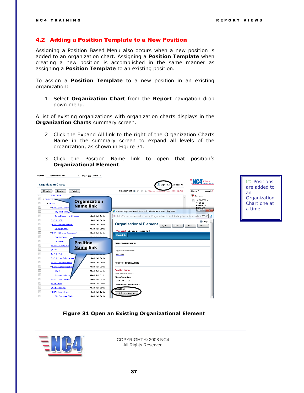#### <span id="page-36-0"></span>4.2 Adding a Position Template to a New Position

Assigning a Position Based Menu also occurs when a new position is added to an organization chart. Assigning a **Position Template** when creating a new position is accomplished in the same manner as assigning a **Position Template** to an existing position.

To assign a **Position Template** to a new position in an existing organization:

1 Select **Organization Chart** from the **Report** navigation drop down menu.

A list of existing organizations with organization charts displays in the **Organization Charts** summary screen.

- 2 Click the Expand All link to the right of the Organization Charts Name in the summary screen to expand all levels of the organization, as shown in [Figure 31.](#page-36-1)
- 3 Click the Position Name link to open that position's **Organizational Element**.



**Positions** are added to an **Organization** Chart one at a time.

**Figure 31 Open an Existing Organizational Element**

<span id="page-36-1"></span>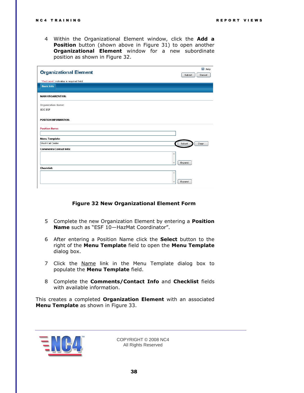4 Within the Organizational Element window, click the **Add a Position** button (shown above in [Figure 31\)](#page-36-1) to open another **Organizational Element** window for a new subordinate position as shown in [Figure 32.](#page-37-0)

| <b>Organizational Element</b>           | $^{\circ}$<br>Help<br>Submit<br>Cancel |
|-----------------------------------------|----------------------------------------|
| *Red Label: indicates a required field. |                                        |
| <b>Basic Info</b>                       |                                        |
| <b>MAIN ORGANIZATION:</b>               |                                        |
| Organization Name:                      |                                        |
| EOC ESF                                 |                                        |
| POSITION INFORMATION:                   |                                        |
| <b>Position Name:</b>                   |                                        |
| Menu Template:                          |                                        |
| Short Call Center                       | Clear<br>Select                        |
| Comments/Contact Info:                  |                                        |
|                                         | $\Delta$                               |
|                                         | Expand                                 |
| <b>Checklist:</b>                       |                                        |
|                                         | A                                      |
|                                         | Expand<br>÷                            |
|                                         |                                        |

#### **Figure 32 New Organizational Element Form**

- <span id="page-37-0"></span>5 Complete the new Organization Element by entering a **Position Name** such as "ESF 10-HazMat Coordinator".
- 6 After entering a Position Name click the **Select** button to the right of the **Menu Template** field to open the **Menu Template** dialog box.
- 7 Click the Name link in the Menu Template dialog box to populate the **Menu Template** field.
- 8 Complete the **Comments/Contact Info** and **Checklist** fields with available information.

This creates a completed **Organization Element** with an associated **Menu Template** as shown in [Figure 33.](#page-38-0)

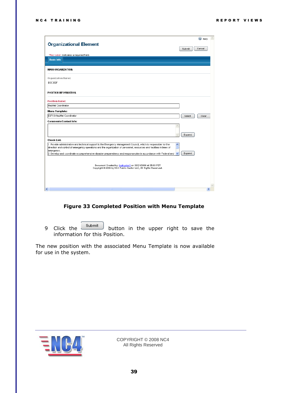|                                                                                                                                                                                                                                            |              |        | C Help |  |
|--------------------------------------------------------------------------------------------------------------------------------------------------------------------------------------------------------------------------------------------|--------------|--------|--------|--|
| <b>Organizational Element</b>                                                                                                                                                                                                              |              | Submit | Cancel |  |
| *Red Label: indicates a required field.                                                                                                                                                                                                    |              |        |        |  |
| <b>Basic Info</b>                                                                                                                                                                                                                          |              |        |        |  |
|                                                                                                                                                                                                                                            |              |        |        |  |
| <b>MAIN ORGANIZATION:</b>                                                                                                                                                                                                                  |              |        |        |  |
| Organization Name:                                                                                                                                                                                                                         |              |        |        |  |
| EOC ESF                                                                                                                                                                                                                                    |              |        |        |  |
| <b>POSITION INFORMATION:</b>                                                                                                                                                                                                               |              |        |        |  |
| <b>Position Hame:</b>                                                                                                                                                                                                                      |              |        |        |  |
| HazMat Coordinator                                                                                                                                                                                                                         |              |        |        |  |
| Menu Template:                                                                                                                                                                                                                             |              |        |        |  |
| ESF10-HazMat Coordinator                                                                                                                                                                                                                   |              | Select | Clear  |  |
| Comments/Contact Info:                                                                                                                                                                                                                     |              |        |        |  |
|                                                                                                                                                                                                                                            |              |        |        |  |
|                                                                                                                                                                                                                                            |              | Expand |        |  |
| <b>Check List:</b>                                                                                                                                                                                                                         |              |        |        |  |
| 1. Provide administrative and technical support to the Emergency Management Council, which is responsible for the<br>direction and control of emergency operations and the organization of personnel, resources and facilities in times of | ∧            |        |        |  |
| emergency.<br>2. Develop and coordinate a comprehensive disaster preparedness and response plan in accordance with Federal and                                                                                                             | $\checkmark$ | Expand |        |  |
|                                                                                                                                                                                                                                            |              |        |        |  |
| Document Created by: Instructor1 on 08/21/2006 at 05:03 PDT<br>Copyright @ 2006 by NC4 Public Sector LLC, All Rights Reserved.                                                                                                             |              |        |        |  |
|                                                                                                                                                                                                                                            |              |        |        |  |
|                                                                                                                                                                                                                                            |              |        |        |  |
| ∣∢<br><b>THE</b>                                                                                                                                                                                                                           |              |        |        |  |
|                                                                                                                                                                                                                                            |              |        |        |  |

#### **Figure 33 Completed Position with Menu Template**

<span id="page-38-0"></span>9 Click the  $\frac{\text{Submit}}{\text{button}}$  button in the upper right to save the information for this Position.

The new position with the associated Menu Template is now available for use in the system.

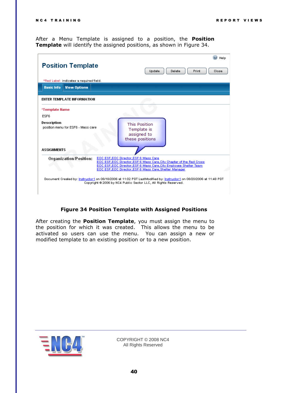After a Menu Template is assigned to a position, the **Position Template** will identify the assigned positions, as shown in [Figure 34.](#page-39-0)

|                                                   | <b>Position Template</b>                |  | Print<br>Close<br>Delete                                                                                                                                                                                                                                                                                                                                                                                                                     | Help |
|---------------------------------------------------|-----------------------------------------|--|----------------------------------------------------------------------------------------------------------------------------------------------------------------------------------------------------------------------------------------------------------------------------------------------------------------------------------------------------------------------------------------------------------------------------------------------|------|
|                                                   |                                         |  | Update                                                                                                                                                                                                                                                                                                                                                                                                                                       |      |
|                                                   | *Red Label: indicates a required field. |  |                                                                                                                                                                                                                                                                                                                                                                                                                                              |      |
| <b>Basic Info</b>                                 | <b>View Options</b>                     |  |                                                                                                                                                                                                                                                                                                                                                                                                                                              |      |
|                                                   | <b>ENTER TEMPLATE INFORMATION</b>       |  |                                                                                                                                                                                                                                                                                                                                                                                                                                              |      |
| *Template Name                                    |                                         |  |                                                                                                                                                                                                                                                                                                                                                                                                                                              |      |
| ESF <sub>6</sub>                                  |                                         |  |                                                                                                                                                                                                                                                                                                                                                                                                                                              |      |
| Description<br>position menu for ESF6 - Mass care |                                         |  | <b>This Position</b><br>Template is<br>assigned to<br>these positions                                                                                                                                                                                                                                                                                                                                                                        |      |
| <b>ASSIGNMENTS</b>                                |                                         |  |                                                                                                                                                                                                                                                                                                                                                                                                                                              |      |
|                                                   | Organization/Position:                  |  | EOC ESF, EOC Director, ESF 6 Mass Care<br>EOC ESF, EOC Director, ESF 6 Mass Care, City Chapter of the Red Cross.<br>EOC ESF, EOC Director, ESF 6 Mass Care, City Employee Shelter Team<br>EOC ESF, EOC Director, ESF 6 Mass Care, Shelter Manager.<br>Document Created by: Instructor1 on 08/18/2006 at 11:02 PDT LastModified by: Instructor1 on 08/20/2006 at 11:48 PDT<br>Copyright @ 2006 by NC4 Public Sector LLC, All Rights Reserved. |      |
|                                                   |                                         |  |                                                                                                                                                                                                                                                                                                                                                                                                                                              |      |

#### **Figure 34 Position Template with Assigned Positions**

<span id="page-39-0"></span>After creating the **Position Template**, you must assign the menu to the position for which it was created. This allows the menu to be activated so users can use the menu. You can assign a new or modified template to an existing position or to a new position.